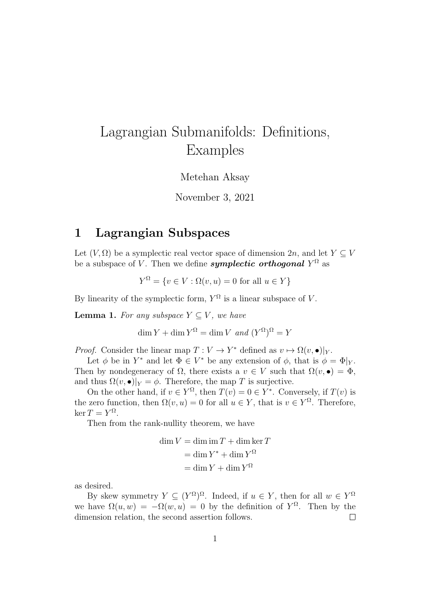# Lagrangian Submanifolds: Definitions, Examples

#### Metehan Aksay

#### November 3, 2021

## 1 Lagrangian Subspaces

Let  $(V, \Omega)$  be a symplectic real vector space of dimension  $2n$ , and let  $Y \subset V$ be a subspace of V. Then we define  $\emph{symplectic orthogonal}$   $Y^{\Omega}$  as

 $Y^{\Omega} = \{v \in V : \Omega(v, u) = 0 \text{ for all } u \in Y\}$ 

By linearity of the symplectic form,  $Y^{\Omega}$  is a linear subspace of V.

<span id="page-0-0"></span>**Lemma 1.** For any subspace  $Y \subseteq V$ , we have

 $\dim Y + \dim Y^{\Omega} = \dim V$  and  $(Y^{\Omega})^{\Omega} = Y$ 

*Proof.* Consider the linear map  $T: V \to Y^*$  defined as  $v \mapsto \Omega(v, \bullet)|_Y$ .

Let  $\phi$  be in  $Y^*$  and let  $\Phi \in V^*$  be any extension of  $\phi$ , that is  $\phi = \Phi|_Y$ . Then by nondegeneracy of  $\Omega$ , there exists a  $v \in V$  such that  $\Omega(v, \bullet) = \Phi$ , and thus  $\Omega(v, \bullet)|_Y = \phi$ . Therefore, the map T is surjective.

On the other hand, if  $v \in Y^{\Omega}$ , then  $T(v) = 0 \in Y^*$ . Conversely, if  $T(v)$  is the zero function, then  $\Omega(v, u) = 0$  for all  $u \in Y$ , that is  $v \in Y^{\Omega}$ . Therefore,  $\ker T = Y^{\Omega}.$ 

Then from the rank-nullity theorem, we have

$$
\dim V = \dim \operatorname{im} T + \dim \ker T
$$

$$
= \dim Y^* + \dim Y^{\Omega}
$$

$$
= \dim Y + \dim Y^{\Omega}
$$

as desired.

By skew symmetry  $Y \subseteq (Y^{\Omega})^{\Omega}$ . Indeed, if  $u \in Y$ , then for all  $w \in Y^{\Omega}$ we have  $\Omega(u, w) = -\Omega(w, u) = 0$  by the definition of  $Y^{\Omega}$ . Then by the dimension relation, the second assertion follows.  $\Box$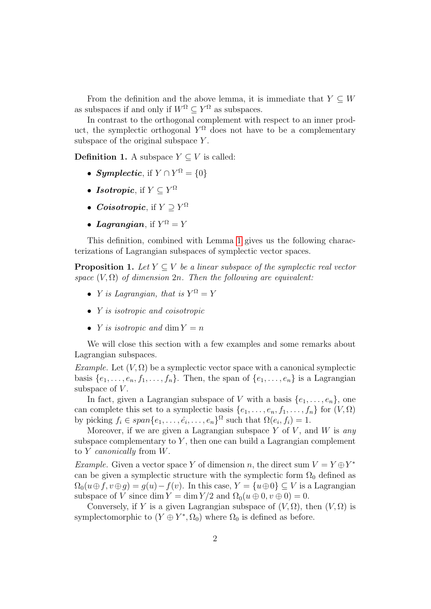From the definition and the above lemma, it is immediate that  $Y \subseteq W$ as subspaces if and only if  $W^{\Omega} \subseteq Y^{\Omega}$  as subspaces.

In contrast to the orthogonal complement with respect to an inner product, the symplectic orthogonal  $Y^{\Omega}$  does not have to be a complementary subspace of the original subspace  $Y$ .

**Definition 1.** A subspace  $Y \subseteq V$  is called:

- Symplectic, if  $Y \cap Y^{\Omega} = \{0\}$
- Isotropic, if  $Y \subseteq Y^{\Omega}$
- *Coisotropic*, if  $Y \supseteq Y^{\Omega}$
- Lagrangian, if  $Y^{\Omega} = Y$

This definition, combined with Lemma [1](#page-0-0) gives us the following characterizations of Lagrangian subspaces of symplectic vector spaces.

**Proposition 1.** Let  $Y \subseteq V$  be a linear subspace of the symplectic real vector space  $(V, \Omega)$  of dimension  $2n$ . Then the following are equivalent:

- *Y* is Lagrangian, that is  $Y^{\Omega} = Y$
- *Y* is isotropic and coisotropic
- *Y* is isotropic and dim  $Y = n$

We will close this section with a few examples and some remarks about Lagrangian subspaces.

Example. Let  $(V, \Omega)$  be a symplectic vector space with a canonical symplectic basis  $\{e_1, \ldots, e_n, f_1, \ldots, f_n\}$ . Then, the span of  $\{e_1, \ldots, e_n\}$  is a Lagrangian subspace of  $V$ .

In fact, given a Lagrangian subspace of V with a basis  $\{e_1, \ldots, e_n\}$ , one can complete this set to a symplectic basis  $\{e_1, \ldots, e_n, f_1, \ldots, f_n\}$  for  $(V, \Omega)$ by picking  $f_i \in span\{e_1, \ldots, \hat{e_i}, \ldots, e_n\}^{\Omega}$  such that  $\Omega(e_i, f_i) = 1$ .

Moreover, if we are given a Lagrangian subspace  $Y$  of  $V$ , and  $W$  is any subspace complementary to  $Y$ , then one can build a Lagrangian complement to  $Y$  canonically from  $W$ .

*Example.* Given a vector space Y of dimension n, the direct sum  $V = Y \oplus Y^*$ can be given a symplectic structure with the symplectic form  $\Omega_0$  defined as  $\Omega_0(u \oplus f, v \oplus g) = g(u) - f(v)$ . In this case,  $Y = \{u \oplus 0\} \subseteq V$  is a Lagrangian subspace of V since dim  $Y = \dim Y/2$  and  $\Omega_0(u \oplus 0, v \oplus 0) = 0$ .

Conversely, if Y is a given Lagrangian subspace of  $(V, \Omega)$ , then  $(V, \Omega)$  is symplectomorphic to  $(Y \oplus Y^*, \Omega_0)$  where  $\Omega_0$  is defined as before.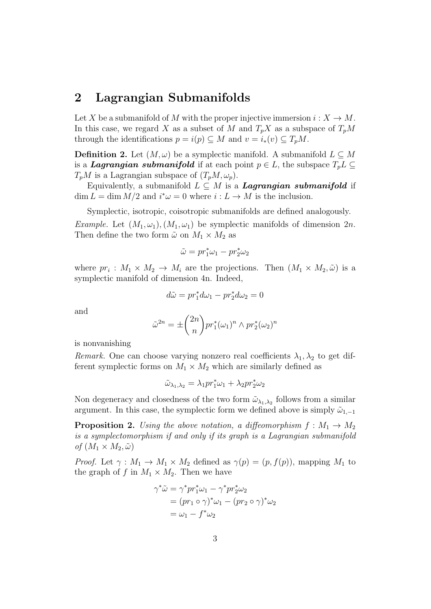### 2 Lagrangian Submanifolds

Let X be a submanifold of M with the proper injective immersion  $i: X \to M$ . In this case, we regard X as a subset of M and  $T_pX$  as a subspace of  $T_pM$ through the identifications  $p = i(p) \subseteq M$  and  $v = i_*(v) \subseteq T_pM$ .

**Definition 2.** Let  $(M, \omega)$  be a symplectic manifold. A submanifold  $L \subset M$ is a **Lagrangian submanifold** if at each point  $p \in L$ , the subspace  $T_pL \subseteq$  $T_pM$  is a Lagrangian subspace of  $(T_pM, \omega_p)$ .

Equivalently, a submanifold  $L \subseteq M$  is a **Lagrangian submanifold** if  $\dim L = \dim M/2$  and  $i^*\omega = 0$  where  $i: L \to M$  is the inclusion.

Symplectic, isotropic, coisotropic submanifolds are defined analogously.

*Example.* Let  $(M_1, \omega_1), (M_1, \omega_1)$  be symplectic manifolds of dimension  $2n$ . Then define the two form  $\tilde{\omega}$  on  $M_1 \times M_2$  as

$$
\tilde{\omega}=pr_1^*\omega_1-pr_2^*\omega_2
$$

where  $pr_i: M_1 \times M_2 \to M_i$  are the projections. Then  $(M_1 \times M_2, \tilde{\omega})$  is a symplectic manifold of dimension 4n. Indeed,

$$
d\tilde{\omega} = pr_1^* d\omega_1 - pr_2^* d\omega_2 = 0
$$

and

$$
\tilde{\omega}^{2n} = \pm \binom{2n}{n} pr_1^*(\omega_1)^n \wedge pr_2^*(\omega_2)^n
$$

is nonvanishing

Remark. One can choose varying nonzero real coefficients  $\lambda_1, \lambda_2$  to get different symplectic forms on  $M_1 \times M_2$  which are similarly defined as

 $\tilde{\omega}_{\lambda_1,\lambda_2} = \lambda_1 pr_1^* \omega_1 + \lambda_2 pr_2^* \omega_2$ 

Non degeneracy and closedness of the two form  $\tilde{\omega}_{\lambda_1,\lambda_2}$  follows from a similar argument. In this case, the symplectic form we defined above is simply  $\tilde{\omega}_{1,-1}$ 

**Proposition 2.** Using the above notation, a diffeomorphism  $f : M_1 \to M_2$ is a symplectomorphism if and only if its graph is a Lagrangian submanifold of  $(M_1 \times M_2, \tilde{\omega})$ 

*Proof.* Let  $\gamma : M_1 \to M_1 \times M_2$  defined as  $\gamma(p) = (p, f(p))$ , mapping  $M_1$  to the graph of f in  $M_1 \times M_2$ . Then we have

$$
\gamma^* \tilde{\omega} = \gamma^* p r_1^* \omega_1 - \gamma^* p r_2^* \omega_2
$$
  
= 
$$
(p r_1 \circ \gamma)^* \omega_1 - (p r_2 \circ \gamma)^* \omega_2
$$
  
= 
$$
\omega_1 - f^* \omega_2
$$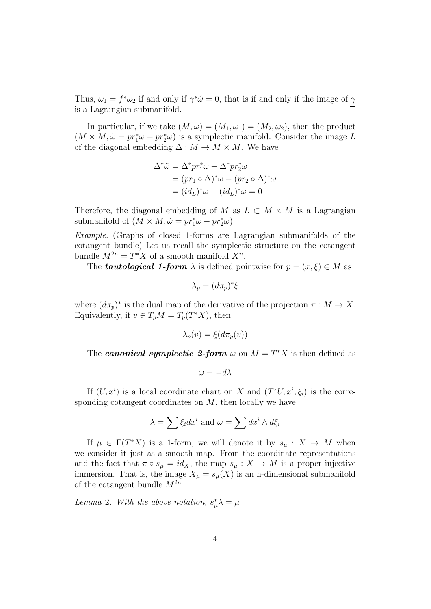Thus,  $\omega_1 = f^* \omega_2$  if and only if  $\gamma^* \tilde{\omega} = 0$ , that is if and only if the image of  $\gamma$ is a Lagrangian submanifold.  $\Box$ 

In particular, if we take  $(M, \omega) = (M_1, \omega_1) = (M_2, \omega_2)$ , then the product  $(M \times M, \tilde{\omega} = pr_1^* \omega - pr_2^* \omega)$  is a symplectic manifold. Consider the image L of the diagonal embedding  $\Delta: M \to M \times M$ . We have

$$
\Delta^*\tilde{\omega} = \Delta^* pr_1^* \omega - \Delta^* pr_2^* \omega
$$
  
=  $(pr_1 \circ \Delta)^* \omega - (pr_2 \circ \Delta)^* \omega$   
=  $(id_L)^* \omega - (id_L)^* \omega = 0$ 

Therefore, the diagonal embedding of M as  $L \subset M \times M$  is a Lagrangian submanifold of  $(M \times M, \tilde{\omega} = pr_1^* \omega - pr_2^* \omega)$ 

Example. (Graphs of closed 1-forms are Lagrangian submanifolds of the cotangent bundle) Let us recall the symplectic structure on the cotangent bundle  $M^{2n} = T^*X$  of a smooth manifold  $X^n$ .

The **tautological 1-form**  $\lambda$  is defined pointwise for  $p = (x, \xi) \in M$  as

$$
\lambda_p = (d\pi_p)^*\xi
$$

where  $(d\pi_p)^*$  is the dual map of the derivative of the projection  $\pi : M \to X$ . Equivalently, if  $v \in T_pM = T_p(T^*X)$ , then

$$
\lambda_p(v) = \xi(d\pi_p(v))
$$

The canonical symplectic 2-form  $\omega$  on  $M = T^*X$  is then defined as

$$
\omega = -d\lambda
$$

If  $(U, x^i)$  is a local coordinate chart on X and  $(T^*U, x^i, \xi_i)$  is the corresponding cotangent coordinates on  $M$ , then locally we have

$$
\lambda = \sum \xi_i dx^i \text{ and } \omega = \sum dx^i \wedge d\xi_i
$$

If  $\mu \in \Gamma(T^*X)$  is a 1-form, we will denote it by  $s_{\mu}: X \to M$  when we consider it just as a smooth map. From the coordinate representations and the fact that  $\pi \circ s_{\mu} = id_X$ , the map  $s_{\mu} : X \to M$  is a proper injective immersion. That is, the image  $X_{\mu} = s_{\mu}(X)$  is an n-dimensional submanifold of the cotangent bundle  $M^{2n}$ 

Lemma 2. With the above notation,  $s^*_{\mu} \lambda = \mu$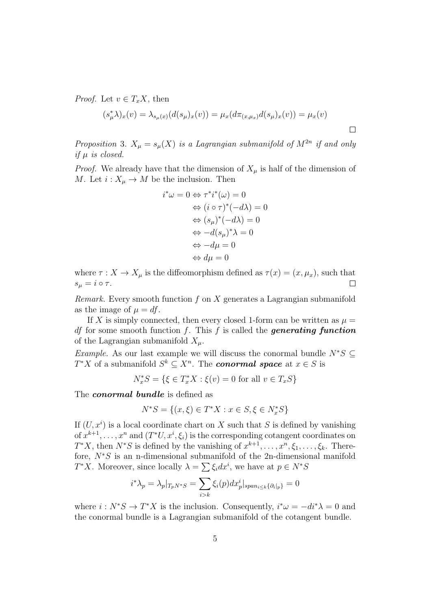*Proof.* Let  $v \in T_xX$ , then

$$
(s_{\mu}^{*}\lambda)_{x}(v) = \lambda_{s_{\mu}(x)}(d(s_{\mu})_{x}(v)) = \mu_{x}(d\pi_{(x,\mu_{x})}d(s_{\mu})_{x}(v)) = \mu_{x}(v)
$$

Proposition 3.  $X_{\mu} = s_{\mu}(X)$  is a Lagrangian submanifold of  $M^{2n}$  if and only if  $\mu$  is closed.

*Proof.* We already have that the dimension of  $X_\mu$  is half of the dimension of M. Let  $i: X_{\mu} \to M$  be the inclusion. Then

$$
i^*\omega = 0 \Leftrightarrow \tau^*i^*(\omega) = 0
$$
  
\n
$$
\Leftrightarrow (i \circ \tau)^*(-d\lambda) = 0
$$
  
\n
$$
\Leftrightarrow (s_\mu)^*(-d\lambda) = 0
$$
  
\n
$$
\Leftrightarrow -d(s_\mu)^*\lambda = 0
$$
  
\n
$$
\Leftrightarrow -d\mu = 0
$$
  
\n
$$
\Leftrightarrow d\mu = 0
$$

where  $\tau : X \to X_\mu$  is the diffeomorphism defined as  $\tau(x) = (x, \mu_x)$ , such that  $s_{\mu} = i \circ \tau.$  $\Box$ 

*Remark.* Every smooth function  $f$  on  $X$  generates a Lagrangian submanifold as the image of  $\mu = df$ .

If X is simply connected, then every closed 1-form can be written as  $\mu =$ *df* for some smooth function f. This f is called the **generating function** of the Lagrangian submanifold  $X_{\mu}$ .

Example. As our last example we will discuss the conormal bundle  $N^*S \subseteq$  $T^*X$  of a submanifold  $S^k \subseteq X^n$ . The **conormal space** at  $x \in S$  is

$$
N_x^* S = \{ \xi \in T_x^* X : \xi(v) = 0 \text{ for all } v \in T_x S \}
$$

The *conormal* bundle is defined as

$$
N^*S = \{(x,\xi) \in T^*X : x \in S, \xi \in N_x^*S\}
$$

If  $(U, x<sup>i</sup>)$  is a local coordinate chart on X such that S is defined by vanishing of  $x^{k+1}, \ldots, x^n$  and  $(T^*U, x^i, \xi_i)$  is the corresponding cotangent coordinates on  $T^*X$ , then  $N^*S$  is defined by the vanishing of  $x^{k+1}, \ldots, x^n, \xi_1, \ldots, \xi_k$ . Therefore, N<sup>∗</sup>S is an n-dimensional submanifold of the 2n-dimensional manifold  $T^*X$ . Moreover, since locally  $\lambda = \sum \xi_i dx^i$ , we have at  $p \in N^*S$ 

$$
i^* \lambda_p = \lambda_p |_{T_p N^* S} = \sum_{i > k} \xi_i(p) dx_p^i |_{span_{i \le k} \{\partial_i|_p\}} = 0
$$

where  $i: N^*S \to T^*X$  is the inclusion. Consequently,  $i^*\omega = -di^*\lambda = 0$  and the conormal bundle is a Lagrangian submanifold of the cotangent bundle.